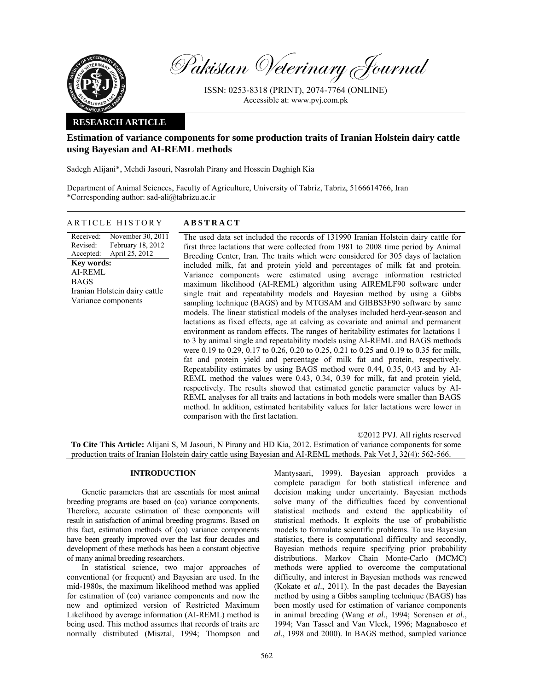

Pakistan Veterinary Journal

ISSN: 0253-8318 (PRINT), 2074-7764 (ONLINE) Accessible at: www.pvj.com.pk

## **RESEARCH ARTICLE**

# **Estimation of variance components for some production traits of Iranian Holstein dairy cattle using Bayesian and AI-REML methods**

Sadegh Alijani\*, Mehdi Jasouri, Nasrolah Pirany and Hossein Daghigh Kia

Department of Animal Sciences, Faculty of Agriculture, University of Tabriz, Tabriz, 5166614766, Iran \*Corresponding author: sad-ali@tabrizu.ac.ir

### ARTICLE HISTORY **ABSTRACT**

Received: Revised: Accepted: November 30, 2011 February 18, 2012 April 25, 2012 **Key words:**  AI-REML BAGS Iranian Holstein dairy cattle Variance components The used data set included the records of 131990 Iranian Holstein dairy cattle for first three lactations that were collected from 1981 to 2008 time period by Animal Breeding Center, Iran. The traits which were considered for 305 days of lactation included milk, fat and protein yield and percentages of milk fat and protein. Variance components were estimated using average information restricted maximum likelihood (AI-REML) algorithm using AIREMLF90 software under single trait and repeatability models and Bayesian method by using a Gibbs sampling technique (BAGS) and by MTGSAM and GIBBS3F90 software by same models. The linear statistical models of the analyses included herd-year-season and lactations as fixed effects, age at calving as covariate and animal and permanent environment as random effects. The ranges of heritability estimates for lactations 1 to 3 by animal single and repeatability models using AI-REML and BAGS methods were 0.19 to 0.29, 0.17 to 0.26, 0.20 to 0.25, 0.21 to 0.25 and 0.19 to 0.35 for milk, fat and protein yield and percentage of milk fat and protein, respectively. Repeatability estimates by using BAGS method were 0.44, 0.35, 0.43 and by AI-REML method the values were 0.43, 0.34, 0.39 for milk, fat and protein yield, respectively. The results showed that estimated genetic parameter values by AI-REML analyses for all traits and lactations in both models were smaller than BAGS method. In addition, estimated heritability values for later lactations were lower in comparison with the first lactation.

©2012 PVJ. All rights reserved

**To Cite This Article:** Alijani S, M Jasouri, N Pirany and HD Kia, 2012. Estimation of variance components for some production traits of Iranian Holstein dairy cattle using Bayesian and AI-REML methods. Pak Vet J, 32(4): 562-566.

#### **INTRODUCTION**

 Genetic parameters that are essentials for most animal breeding programs are based on (co) variance components. Therefore, accurate estimation of these components will result in satisfaction of animal breeding programs. Based on this fact, estimation methods of (co) variance components have been greatly improved over the last four decades and development of these methods has been a constant objective of many animal breeding researchers.

In statistical science, two major approaches of conventional (or frequent) and Bayesian are used. In the mid-1980s, the maximum likelihood method was applied for estimation of (co) variance components and now the new and optimized version of Restricted Maximum Likelihood by average information (AI-REML) method is being used. This method assumes that records of traits are normally distributed (Misztal, 1994; Thompson and

Mantysaari, 1999). Bayesian approach provides a complete paradigm for both statistical inference and decision making under uncertainty. Bayesian methods solve many of the difficulties faced by conventional statistical methods and extend the applicability of statistical methods. It exploits the use of probabilistic models to formulate scientific problems. To use Bayesian statistics, there is computational difficulty and secondly, Bayesian methods require specifying prior probability distributions. Markov Chain Monte-Carlo (MCMC) methods were applied to overcome the computational difficulty, and interest in Bayesian methods was renewed (Kokate *et al*., 2011). In the past decades the Bayesian method by using a Gibbs sampling technique (BAGS) has been mostly used for estimation of variance components in animal breeding (Wang *et al*., 1994; Sorensen *et al*., 1994; Van Tassel and Van Vleck, 1996; Magnabosco *et al*., 1998 and 2000). In BAGS method, sampled variance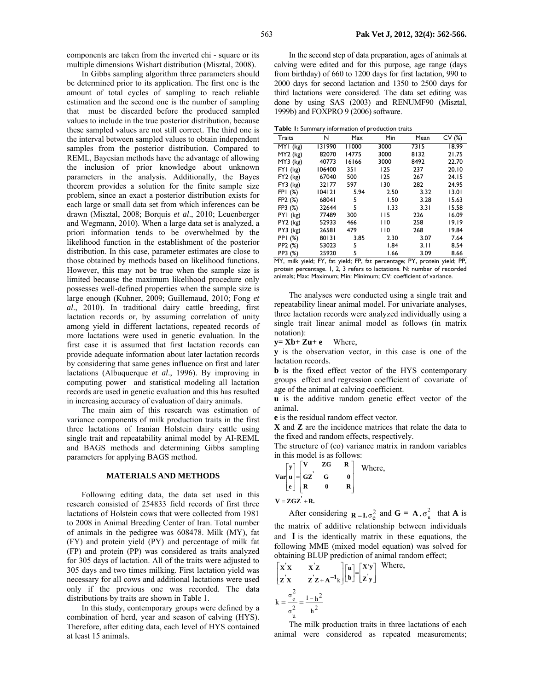In Gibbs sampling algorithm three parameters should be determined prior to its application. The first one is the amount of total cycles of sampling to reach reliable estimation and the second one is the number of sampling that must be discarded before the produced sampled values to include in the true posterior distribution, because these sampled values are not still correct. The third one is the interval between sampled values to obtain independent samples from the posterior distribution. Compared to REML, Bayesian methods have the advantage of allowing the inclusion of prior knowledge about unknown parameters in the analysis. Additionally, the Bayes theorem provides a solution for the finite sample size problem, since an exact a posterior distribution exists for each large or small data set from which inferences can be drawn (Misztal, 2008; Borquis *et al*., 2010; Leuenberger and Wegmann, 2010). When a large data set is analyzed, a priori information tends to be overwhelmed by the likelihood function in the establishment of the posterior distribution. In this case, parameter estimates are close to those obtained by methods based on likelihood functions. However, this may not be true when the sample size is limited because the maximum likelihood procedure only possesses well-defined properties when the sample size is large enough (Kuhner, 2009; Guillemaud, 2010; Fong *et al*., 2010). In traditional dairy cattle breeding, first lactation records or, by assuming correlation of unity among yield in different lactations, repeated records of more lactations were used in genetic evaluation. In the first case it is assumed that first lactation records can provide adequate information about later lactation records by considering that same genes influence on first and later lactations (Albuquerque *et al*., 1996). By improving in computing power and statistical modeling all lactation records are used in genetic evaluation and this has resulted in increasing accuracy of evaluation of dairy animals.

The main aim of this research was estimation of variance components of milk production traits in the first three lactations of Iranian Holstein dairy cattle using single trait and repeatability animal model by AI-REML and BAGS methods and determining Gibbs sampling parameters for applying BAGS method.

#### **MATERIALS AND METHODS**

Following editing data, the data set used in this research consisted of 254833 field records of first three lactations of Holstein cows that were collected from 1981 to 2008 in Animal Breeding Center of Iran. Total number of animals in the pedigree was 608478. Milk (MY), fat (FY) and protein yield (PY) and percentage of milk fat (FP) and protein (PP) was considered as traits analyzed for 305 days of lactation. All of the traits were adjusted to 305 days and two times milking. First lactation yield was necessary for all cows and additional lactations were used only if the previous one was recorded. The data distributions by traits are shown in Table 1.

In this study, contemporary groups were defined by a combination of herd, year and season of calving (HYS). Therefore, after editing data, each level of HYS contained at least 15 animals.

In the second step of data preparation, ages of animals at calving were edited and for this purpose, age range (days from birthday) of 660 to 1200 days for first lactation, 990 to 2000 days for second lactation and 1350 to 2500 days for third lactations were considered. The data set editing was done by using SAS (2003) and RENUMF90 (Misztal, 1999b) and FOXPRO 9 (2006) software.

**Table 1:** Summary information of production traits

|                | ,      |       |       |      |        |
|----------------|--------|-------|-------|------|--------|
| Traits         | N      | Max   | Min   | Mean | CV (%) |
| MT(kg)         | 131990 | 11000 | 3000  | 7315 | 18.99  |
| MY2 (kg)       | 82070  | 14775 | 3000  | 8132 | 21.75  |
| MY3 (kg)       | 40773  | 16166 | 3000  | 8492 | 22.70  |
| $FYI$ (kg)     | 106400 | 35 I  | 125   | 237  | 20.10  |
| $FY2$ ( $kg$ ) | 67040  | 500   | 125   | 267  | 24.15  |
| FY3 (kg)       | 32177  | 597   | 130   | 282  | 24.95  |
| FPI (%)        | 104121 | 5.94  | 2.50  | 3.32 | 13.01  |
| FP2 (%)        | 68041  | 5     | 1.50  | 3.28 | 15.63  |
| FP3 (%)        | 32644  | 5     | 1.33  | 3.31 | 15.58  |
| PYI (kg)       | 77489  | 300   | I I 5 | 226  | 16.09  |
| $PY2$ (kg)     | 52933  | 466   | 110   | 258  | 19.19  |
| PY3 (kg)       | 26581  | 479   | 110   | 268  | 19.84  |
| PPI (%)        | 80131  | 3.85  | 2.30  | 3.07 | 7.64   |
| PP2 (%)        | 53023  | 5     | 1.84  | 3.11 | 8.54   |
| PP3 (%)        | 25920  | 5     | 1.66  | 3.09 | 8.66   |

MY, milk yield; FY, fat yield; FP, fat percentage; PY, protein yield; PP, protein percentage. 1, 2, 3 refers to lactations. N: number of recorded animals; Max: Maximum; Min: Minimum; CV: coefficient of variance.

The analyses were conducted using a single trait and repeatability linear animal model. For univariate analyses, three lactation records were analyzed individually using a single trait linear animal model as follows (in matrix notation):

 $y= Xb+ Zu+ e$  Where,

**y** is the observation vector, in this case is one of the lactation records.

**b** is the fixed effect vector of the HYS contemporary groups effect and regression coefficient of covariate of age of the animal at calving coefficient.

**u** is the additive random genetic effect vector of the animal.

**e** is the residual random effect vector.

**X** and **Z** are the incidence matrices that relate the data to the fixed and random effects, respectively.

The structure of (co) variance matrix in random variables in this model is as follows:

$$
\mathbf{Var}\begin{bmatrix} \mathbf{y} \\ \mathbf{u} \\ \mathbf{e} \end{bmatrix} = \begin{bmatrix} \mathbf{V} & \mathbf{Z}\mathbf{G} & \mathbf{R} \\ \mathbf{G}\mathbf{Z} & \mathbf{G} & \mathbf{0} \\ \mathbf{R} & \mathbf{0} & \mathbf{R} \end{bmatrix} \text{ Where,}
$$

 $V = ZGZ + R$ .

After considering  $\mathbf{R} = \mathbf{I} \cdot \sigma_e^2$  and  $\mathbf{G} = \mathbf{A} \cdot \sigma_u^2$  that **A** is the matrix of additive relationship between individuals and **I** is the identically matrix in these equations, the following MME (mixed model equation) was solved for obtaining BLUP prediction of animal random effect;

$$
\begin{bmatrix} \mathbf{x}'\mathbf{x} & \mathbf{x}'\mathbf{z} \\ \mathbf{z}'\mathbf{x} & \mathbf{z}'\mathbf{z} + \mathbf{A}^{-1}\mathbf{k} \end{bmatrix} \begin{bmatrix} \mathbf{u} \\ \mathbf{b} \end{bmatrix} = \begin{bmatrix} \mathbf{x}'\mathbf{y} \\ \mathbf{z}'\mathbf{y} \end{bmatrix}
$$
 Where,  
\n
$$
\mathbf{k} = \frac{\sigma_e^2}{\sigma_u^2} = \frac{1 - h^2}{h^2}
$$

The milk production traits in three lactations of each animal were considered as repeated measurements;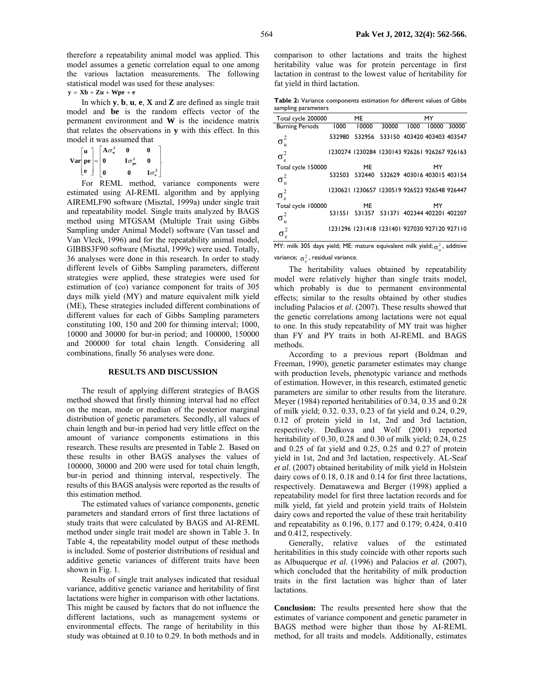therefore a repeatability animal model was applied. This model assumes a genetic correlation equal to one among the various lactation measurements. The following statistical model was used for these analyses:

**y** = **Xb** + **Zu** + **Wpe** + **e**

In which **y**, **b**, **u**, **e**, **X** and **Z** are defined as single trait model and **be** is the random effects vector of the permanent environment and **W** is the incidence matrix that relates the observations in **y** with this effect. In this model it was assumed that

|                                                                                                           |           | $A\sigma_u^2$ |             |
|-----------------------------------------------------------------------------------------------------------|-----------|---------------|-------------|
| $Var\left[\begin{array}{c} u \\ pe \end{array}\right] = \left[\begin{array}{c} A \\ 0 \end{array}\right]$ |           |               |             |
|                                                                                                           | $\vert$ e | $\bf{0}$      | $I\sigma^2$ |

For REML method, variance components were estimated using AI-REML algorithm and by applying AIREMLF90 software (Misztal, 1999a) under single trait and repeatability model. Single traits analyzed by BAGS method using MTGSAM (Multiple Trait using Gibbs Sampling under Animal Model) software (Van tassel and Van Vleck, 1996) and for the repeatability animal model, GIBBS3F90 software (Misztal, 1999c) were used. Totally, 36 analyses were done in this research. In order to study different levels of Gibbs Sampling parameters, different strategies were applied, these strategies were used for estimation of (co) variance component for traits of 305 days milk yield (MY) and mature equivalent milk yield (ME), These strategies included different combinations of different values for each of Gibbs Sampling parameters constituting 100, 150 and 200 for thinning interval; 1000, 10000 and 30000 for bur-in period; and 100000, 150000 and 200000 for total chain length. Considering all combinations, finally 56 analyses were done.

#### **RESULTS AND DISCUSSION**

The result of applying different strategies of BAGS method showed that firstly thinning interval had no effect on the mean, mode or median of the posterior marginal distribution of genetic parameters. Secondly, all values of chain length and bur-in period had very little effect on the amount of variance components estimations in this research. These results are presented in Table 2. Based on these results in other BAGS analyses the values of 100000, 30000 and 200 were used for total chain length, bur-in period and thinning interval, respectively. The results of this BAGS analysis were reported as the results of this estimation method.

The estimated values of variance components, genetic parameters and standard errors of first three lactations of study traits that were calculated by BAGS and AI-REML method under single trait model are shown in Table 3. In Table 4, the repeatability model output of these methods is included. Some of posterior distributions of residual and additive genetic variances of different traits have been shown in Fig. 1.

Results of single trait analyses indicated that residual variance, additive genetic variance and heritability of first lactations were higher in comparison with other lactations. This might be caused by factors that do not influence the different lactations, such as management systems or environmental effects. The range of heritability in this study was obtained at 0.10 to 0.29. In both methods and in

comparison to other lactations and traits the highest heritability value was for protein percentage in first lactation in contrast to the lowest value of heritability for fat yield in third lactation.

**Table 2:** Variance components estimation for different values of Gibbs sampling parameters

| Total cycle 200000     |        | ME                                           |                                    |      | MY    |       |
|------------------------|--------|----------------------------------------------|------------------------------------|------|-------|-------|
| <b>Burning Periods</b> | 1000   | 10000                                        | 30000                              | 1000 | 10000 | 30000 |
| $\sigma_{\rm u}^2$     | 532980 |                                              | 532956 533150 403420 403403 403547 |      |       |       |
| $\sigma_{\rm e}^2$     |        | 1230274 1230284 1230143 926261 926267 926163 |                                    |      |       |       |
| Total cycle 150000     |        | ME                                           |                                    |      | MY    |       |
| $\sigma_{\rm u}^2$     |        | 532503 532440 532629 403016 403015 403154    |                                    |      |       |       |
| $\sigma_e^2$           |        | 1230621 1230657 1230519 926523 926548 926447 |                                    |      |       |       |
| Total cycle 100000     |        | ME                                           |                                    |      | MY    |       |
| $\sigma_{\rm u}^2$     | 531551 |                                              | 531357 531371 402344 402201 402207 |      |       |       |
|                        |        | 1231296 1231418 1231401 927030 927120 927110 |                                    |      |       |       |

MY: milk 305 days yield; ME: mature equivalent milk yield;  $\sigma_z^2$ , additive variance;  $\sigma_s^2$ , residual variance.

The heritability values obtained by repeatability model were relatively higher than single traits model, which probably is due to permanent environmental effects; similar to the results obtained by other studies including Palacios *et al*. (2007). These results showed that the genetic correlations among lactations were not equal to one. In this study repeatability of MY trait was higher than FY and PY traits in both AI-REML and BAGS methods.

According to a previous report (Boldman and Freeman, 1990), genetic parameter estimates may change with production levels, phenotypic variance and methods of estimation. However, in this research, estimated genetic parameters are similar to other results from the literature. Meyer (1984) reported heritabilities of 0.34, 0.35 and 0.28 of milk yield; 0.32. 0.33, 0.23 of fat yield and 0.24, 0.29, 0.12 of protein yield in 1st, 2nd and 3rd lactation, respectively. Dedkova and Wolf (2001) reported heritability of 0.30, 0.28 and 0.30 of milk yield; 0.24, 0.25 and 0.25 of fat yield and 0.25, 0.25 and 0.27 of protein yield in 1st, 2nd and 3rd lactation, respectively. AL-Seaf *et al.* (2007) obtained heritability of milk yield in Holstein dairy cows of 0.18, 0.18 and 0.14 for first three lactations, respectively. Dematawewa and Berger (1998) applied a repeatability model for first three lactation records and for milk yield, fat yield and protein yield traits of Holstein dairy cows and reported the value of these trait heritability and repeatability as 0.196, 0.177 and 0.179; 0.424, 0.410 and 0.412, respectively.

Generally, relative values of the estimated heritabilities in this study coincide with other reports such as Albuquerque *et al.* (1996) and Palacios *et al.* (2007), which concluded that the heritability of milk production traits in the first lactation was higher than of later lactations.

**Conclusion:** The results presented here show that the estimates of variance component and genetic parameter in BAGS method were higher than those by AI-REML method, for all traits and models. Additionally, estimates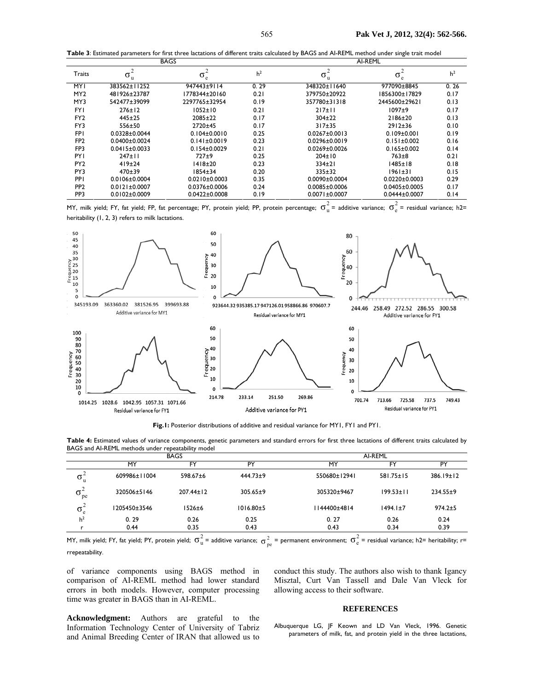**Table 3**: Estimated parameters for first three lactations of different traits calculated by BAGS and AI-REML method under single trait model

|                 |                     | <b>BAGS</b>         | AI-REML        |                     |                     |                |
|-----------------|---------------------|---------------------|----------------|---------------------|---------------------|----------------|
| Traits          | $\sigma_u^2$        | $\sigma_e^2$        | h <sup>2</sup> | $\sigma_{\rm u}^2$  | $\sigma_{\rm e}^2$  | h <sup>2</sup> |
| MYI             | 383562±11252        | 947443±9114         | 0.29           | 348320±11640        | 977090±8845         | 0.26           |
| MY <sub>2</sub> | 481926±23787        | 1778344±20160       | 0.21           | 379750±20922        | 1856300±17829       | 0.17           |
| MY3             | 542477±39099        | 2297765±32954       | 0.19           | 357780±31318        | 2445600±29621       | 0.13           |
| <b>FYI</b>      | $276 \pm 12$        | $1052 \pm 10$       | 0.21           | 217±11              | $1097 + 9$          | 0.17           |
| FY <sub>2</sub> | $445+25$            | $2085 + 22$         | 0.17           | $304 + 22$          | $2186 \pm 20$       | 0.13           |
| FY3             | $556 + 50$          | 2720±45             | 0.17           | $317 + 35$          | $2912 \pm 36$       | 0.10           |
| <b>FPI</b>      | $0.0328 \pm 0.0044$ | $0.104 \pm 0.0010$  | 0.25           | $0.0267 \pm 0.0013$ | $0.109 \pm 0.001$   | 0.19           |
| FP <sub>2</sub> | $0.0400 \pm 0.0024$ | $0.141 \pm 0.0019$  | 0.23           | $0.0296 \pm 0.0019$ | $0.151 \pm 0.002$   | 0.16           |
| FP3             | $0.0415 \pm 0.0033$ | $0.154 \pm 0.0029$  | 0.21           | $0.0269 \pm 0.0026$ | $0.165 \pm 0.002$   | 0.14           |
| <b>PYI</b>      | $247 \pm 11$        | $727+9$             | 0.25           | $204 \pm 10$        | $763 + 8$           | 0.21           |
| PY <sub>2</sub> | 419±24              | 1418±20             | 0.23           | $334+21$            | 1485±18             | 0.18           |
| PY3             | $470+39$            | $1854 \pm 34$       | 0.20           | $335+32$            | 1961±31             | 0.15           |
| PPI             | $0.0106 \pm 0.0004$ | $0.0210 \pm 0.0003$ | 0.35           | $0.0090 \pm 0.0004$ | $0.0220 \pm 0.0003$ | 0.29           |
| PP <sub>2</sub> | $0.0121 \pm 0.0007$ | $0.0376 \pm 0.0006$ | 0.24           | $0.0085 \pm 0.0006$ | $0.0405 \pm 0.0005$ | 0.17           |
| PP3             | $0.0102 \pm 0.0009$ | $0.0422 \pm 0.0008$ | 0.19           | $0.0071 \pm 0.0007$ | $0.0444\pm0.0007$   | 0.14           |

MY, milk yield; FY, fat yield; FP, fat percentage; PY, protein yield; PP, protein percentage;  $\sigma_u^2$  = additive variance;  $\sigma_e^2$  = residual variance; h2= heritability (1, 2, 3) refers to milk lactations.



**Fig.1:** Posterior distributions of additive and residual variance for MY1, FY1 and PY1.

| Table 4: Estimated values of variance components, genetic parameters and standard errors for first three lactations of different traits calculated by |  |  |
|-------------------------------------------------------------------------------------------------------------------------------------------------------|--|--|
| BAGS and AI-REML methods under repeatability model                                                                                                    |  |  |

| <b>BAGS</b>                  |              |                 |                | AI-REML      |                 |               |  |
|------------------------------|--------------|-----------------|----------------|--------------|-----------------|---------------|--|
|                              | MY           | FY              | PY             | MY           | FY              | PY            |  |
| $\sigma_{\rm u}$             | 609986±11004 | 598.67±6        | $444.73 + 9$   | 550680±12941 | $581.75 \pm 15$ | 386.19±12     |  |
| $\sigma_{\rm pe}$            | 320506±5146  | $207.44 \pm 12$ | $305.65 \pm 9$ | 305320±9467  | $199.53 \pm 11$ | 234.55±9      |  |
| $\sim$<br>$\sigma_{\rm e}^2$ | 1205450±3546 | $1526 \pm 6$    | 1016.80±5      | 1144400±4814 | $1494.1 \pm 7$  | $974.2 \pm 5$ |  |
| h <sup>2</sup>               | 0.29         | 0.26            | 0.25           | 0.27         | 0.26            | 0.24          |  |
|                              | 0.44         | 0.35            | 0.43           | 0.43         | 0.34            | 0.39          |  |
|                              |              |                 |                |              |                 |               |  |

MY, milk yield; FY, fat yield; PY, protein yield;  $\sigma_u^2$  = additive variance;  $\sigma_{ve}^2$  = permanent environment;  $\sigma_e^2$  = residual variance; h2= heritability; r= rrepeatability.

of variance components using BAGS method in comparison of AI-REML method had lower standard errors in both models. However, computer processing time was greater in BAGS than in AI-REML.

conduct this study. The authors also wish to thank Igancy Misztal, Curt Van Tassell and Dale Van Vleck for allowing access to their software.

#### **REFERENCES**

**Acknowledgment:** Authors are grateful to the Information Technology Center of University of Tabriz and Animal Breeding Center of IRAN that allowed us to

Albuquerque LG, JF Keown and LD Van Vleck, 1996. Genetic parameters of milk, fat, and protein yield in the three lactations,